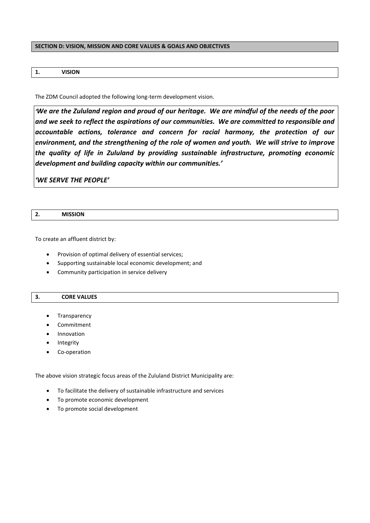### **SECTION D: VISION, MISSION AND CORE VALUES & GOALS AND OBJECTIVES**

## **1. VISION**

The ZDM Council adopted the following long-term development vision.

*'We are the Zululand region and proud of our heritage. We are mindful of the needs of the poor and we seek to reflect the aspirations of our communities. We are committed to responsible and accountable actions, tolerance and concern for racial harmony, the protection of our environment, and the strengthening of the role of women and youth. We will strive to improve the quality of life in Zululand by providing sustainable infrastructure, promoting economic development and building capacity within our communities.'*

*'WE SERVE THE PEOPLE'*

To create an affluent district by:

- Provision of optimal delivery of essential services;
- Supporting sustainable local economic development; and
- Community participation in service delivery

### **3. CORE VALUES**

- Transparency
- Commitment
- Innovation
- Integrity
- Co-operation

The above vision strategic focus areas of the Zululand District Municipality are:

- To facilitate the delivery of sustainable infrastructure and services
- To promote economic development
- To promote social development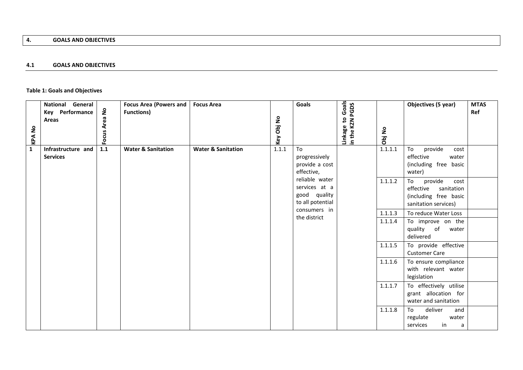## **4.1 GOALS AND OBJECTIVES**

# **Table 1: Goals and Objectives**

| <b>KPA No</b> | <b>National General</b><br>Key Performance<br>Areas | Focus Area No | Focus Area (Powers and<br><b>Functions)</b> | <b>Focus Area</b>             | Key Obj No | <b>Goals</b>                                                        | Goals<br>Linkage to Goals<br>in the KZN PGDS | Obj No  | Objectives (5 year)                                                                               | <b>MTAS</b><br>Ref |
|---------------|-----------------------------------------------------|---------------|---------------------------------------------|-------------------------------|------------|---------------------------------------------------------------------|----------------------------------------------|---------|---------------------------------------------------------------------------------------------------|--------------------|
| $\mathbf{1}$  | Infrastructure and<br><b>Services</b>               | 1.1           | <b>Water &amp; Sanitation</b>               | <b>Water &amp; Sanitation</b> | 1.1.1      | To<br>progressively<br>provide a cost<br>effective,                 |                                              | 1.1.1.1 | To<br>provide<br>cost<br>effective<br>water<br>(including free basic<br>water)                    |                    |
|               |                                                     |               |                                             |                               |            | reliable water<br>services at a<br>good quality<br>to all potential |                                              | 1.1.1.2 | To<br>provide<br>cost<br>sanitation<br>effective<br>(including free basic<br>sanitation services) |                    |
|               |                                                     |               |                                             |                               |            | consumers in                                                        |                                              | 1.1.1.3 | To reduce Water Loss                                                                              |                    |
|               |                                                     |               |                                             |                               |            | the district                                                        |                                              | 1.1.1.4 | To improve on the<br>quality of water<br>delivered                                                |                    |
|               |                                                     |               |                                             |                               |            |                                                                     |                                              | 1.1.1.5 | To provide effective<br><b>Customer Care</b>                                                      |                    |
|               |                                                     |               |                                             |                               |            |                                                                     |                                              | 1.1.1.6 | To ensure compliance<br>with relevant water<br>legislation                                        |                    |
|               |                                                     |               |                                             |                               |            |                                                                     |                                              | 1.1.1.7 | To effectively utilise<br>grant allocation for<br>water and sanitation                            |                    |
|               |                                                     |               |                                             |                               |            |                                                                     |                                              | 1.1.1.8 | To<br>deliver<br>and<br>regulate<br>water<br>services<br>in<br>a                                  |                    |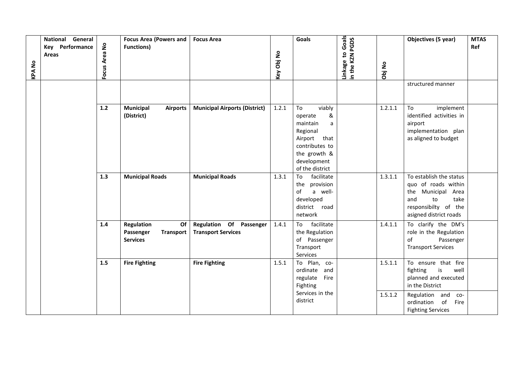| General<br><b>National</b><br>Key Performance<br>Areas<br><b>KPA No</b> | Focus Area No | <b>Focus Area (Powers and</b><br><b>Functions)</b>                   | <b>Focus Area</b>                                    | Key Obj No | <b>Goals</b>                                                                                                                                  | Goals<br>n the KZN PGDS<br>inkage to | Obj No  | Objectives (5 year)<br>structured manner                                                                                                    | <b>MTAS</b><br>Ref |
|-------------------------------------------------------------------------|---------------|----------------------------------------------------------------------|------------------------------------------------------|------------|-----------------------------------------------------------------------------------------------------------------------------------------------|--------------------------------------|---------|---------------------------------------------------------------------------------------------------------------------------------------------|--------------------|
|                                                                         |               |                                                                      |                                                      |            |                                                                                                                                               |                                      |         |                                                                                                                                             |                    |
|                                                                         | $1.2$         | <b>Municipal</b><br><b>Airports</b><br>(District)                    | <b>Municipal Airports (District)</b>                 | 1.2.1      | To<br>viably<br>&<br>operate<br>maintain<br>a<br>Regional<br>Airport that<br>contributes to<br>the growth &<br>development<br>of the district |                                      | 1.2.1.1 | To<br>implement<br>identified activities in<br>airport<br>implementation plan<br>as aligned to budget                                       |                    |
|                                                                         | 1.3           | <b>Municipal Roads</b>                                               | <b>Municipal Roads</b>                               | 1.3.1      | facilitate<br>To<br>the provision<br>of<br>a well-<br>developed<br>district road<br>network                                                   |                                      | 1.3.1.1 | To establish the status<br>quo of roads within<br>the Municipal Area<br>and<br>to<br>take<br>responsibilty of the<br>asigned district roads |                    |
|                                                                         | 1.4           | Regulation<br>Of<br>Passenger<br><b>Transport</b><br><b>Services</b> | Regulation Of Passenger<br><b>Transport Services</b> | 1.4.1      | facilitate<br>To<br>the Regulation<br>of Passenger<br>Transport<br>Services                                                                   |                                      | 1.4.1.1 | To clarify the DM's<br>role in the Regulation<br>of<br>Passenger<br><b>Transport Services</b>                                               |                    |
|                                                                         | 1.5           | <b>Fire Fighting</b>                                                 | <b>Fire Fighting</b>                                 | 1.5.1      | To Plan, co-<br>ordinate and<br>regulate Fire<br>Fighting                                                                                     |                                      | 1.5.1.1 | To ensure that fire<br>fighting<br>is<br>well<br>planned and executed<br>in the District                                                    |                    |
|                                                                         |               |                                                                      |                                                      |            | Services in the<br>district                                                                                                                   |                                      | 1.5.1.2 | Regulation and co-<br>ordination of<br>Fire<br><b>Fighting Services</b>                                                                     |                    |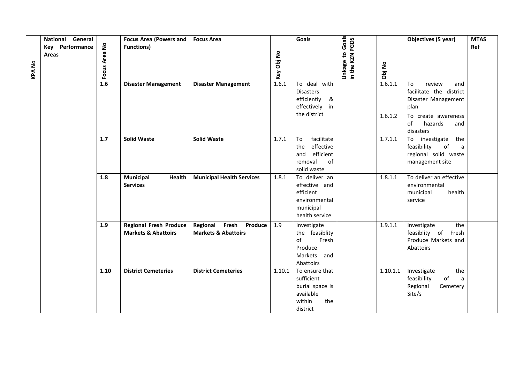|               | General<br><b>National</b><br>Key Performance | <b>Focus Area (Powers and</b><br><b>Functions)</b>              | <b>Focus Area</b>                                           |            | <b>Goals</b>                                                                                | Goals                       |          | Objectives (5 year)                                                                                   | <b>MTAS</b><br>Ref |
|---------------|-----------------------------------------------|-----------------------------------------------------------------|-------------------------------------------------------------|------------|---------------------------------------------------------------------------------------------|-----------------------------|----------|-------------------------------------------------------------------------------------------------------|--------------------|
| <b>KPA No</b> | Area No<br><b>Areas</b><br>Focus              |                                                                 |                                                             | Key Obj No |                                                                                             | n the KZN PGDS<br>inkage to | Obj No   |                                                                                                       |                    |
|               | 1.6                                           | <b>Disaster Management</b>                                      | <b>Disaster Management</b>                                  | 1.6.1      | To deal with<br><b>Disasters</b><br>efficiently<br>&<br>effectively in                      |                             | 1.6.1.1  | To<br>review<br>and<br>facilitate the district<br>Disaster Management<br>plan                         |                    |
|               |                                               |                                                                 |                                                             |            | the district                                                                                |                             | 1.6.1.2  | To create awareness<br>of<br>hazards<br>and<br>disasters                                              |                    |
|               | 1.7                                           | <b>Solid Waste</b>                                              | <b>Solid Waste</b>                                          | 1.7.1      | To<br>facilitate<br>effective<br>the<br>efficient<br>and<br>removal<br>of<br>solid waste    |                             | 1.7.1.1  | the<br>To investigate<br>$\mathsf{of}$<br>feasibility<br>a<br>regional solid waste<br>management site |                    |
|               | 1.8                                           | <b>Municipal</b><br><b>Health</b><br><b>Services</b>            | <b>Municipal Health Services</b>                            | 1.8.1      | To deliver an<br>effective and<br>efficient<br>environmental<br>municipal<br>health service |                             | 1.8.1.1  | To deliver an effective<br>environmental<br>health<br>municipal<br>service                            |                    |
|               | 1.9                                           | <b>Regional Fresh Produce</b><br><b>Markets &amp; Abattoirs</b> | Fresh Produce<br>Regional<br><b>Markets &amp; Abattoirs</b> | 1.9        | Investigate<br>the feasiblity<br>of<br>Fresh<br>Produce<br>Markets and<br>Abattoirs         |                             | 1.9.1.1  | Investigate<br>the<br>feasiblity of<br>Fresh<br>Produce Markets and<br>Abattoirs                      |                    |
|               | 1.10                                          | <b>District Cemeteries</b>                                      | <b>District Cemeteries</b>                                  | 1.10.1     | To ensure that<br>sufficient<br>burial space is<br>available<br>within<br>the<br>district   |                             | 1.10.1.1 | Investigate<br>the<br>feasibility<br>of<br>a<br>Regional<br>Cemetery<br>Site/s                        |                    |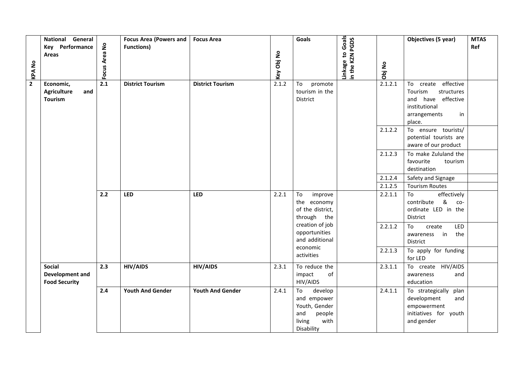| <b>KPA No</b>  | National General<br>Key Performance<br>Areas             | Focus Area No | <b>Focus Area (Powers and</b><br><b>Functions)</b> | <b>Focus Area</b>       | Key Obj No | <b>Goals</b>                                                                                   | Linkage to Goals<br>in the KZN PGDS | Obj No  | Objectives (5 year)                                                                                                    | <b>MTAS</b><br>Ref |
|----------------|----------------------------------------------------------|---------------|----------------------------------------------------|-------------------------|------------|------------------------------------------------------------------------------------------------|-------------------------------------|---------|------------------------------------------------------------------------------------------------------------------------|--------------------|
| $\overline{2}$ | Economic,<br><b>Agriculture</b><br>and<br><b>Tourism</b> | 2.1           | <b>District Tourism</b>                            | <b>District Tourism</b> | 2.1.2      | promote<br>To<br>tourism in the<br>District                                                    |                                     | 2.1.2.1 | To create effective<br>Tourism<br>structures<br>have effective<br>and<br>institutional<br>arrangements<br>in<br>place. |                    |
|                |                                                          |               |                                                    |                         |            |                                                                                                |                                     | 2.1.2.2 | To ensure tourists/<br>potential tourists are<br>aware of our product                                                  |                    |
|                |                                                          |               |                                                    |                         |            |                                                                                                |                                     | 2.1.2.3 | To make Zululand the<br>favourite<br>tourism<br>destination                                                            |                    |
|                |                                                          |               |                                                    |                         |            |                                                                                                |                                     | 2.1.2.4 | Safety and Signage                                                                                                     |                    |
|                |                                                          |               |                                                    |                         |            |                                                                                                |                                     | 2.1.2.5 | <b>Tourism Routes</b>                                                                                                  |                    |
|                |                                                          | 2.2           | <b>LED</b>                                         | <b>LED</b>              | 2.2.1      | To<br>improve<br>the economy<br>of the district,<br>through the                                |                                     | 2.2.1.1 | To<br>effectively<br>&<br>contribute<br>$co-$<br>ordinate LED in the<br>District                                       |                    |
|                |                                                          |               |                                                    |                         |            | creation of job<br>opportunities<br>and additional                                             |                                     | 2.2.1.2 | To<br>LED<br>create<br>the<br>awareness in<br>District                                                                 |                    |
|                |                                                          |               |                                                    |                         |            | economic<br>activities                                                                         |                                     | 2.2.1.3 | To apply for funding<br>for LED                                                                                        |                    |
|                | <b>Social</b><br>Development and<br><b>Food Security</b> | 2.3           | <b>HIV/AIDS</b>                                    | <b>HIV/AIDS</b>         | 2.3.1      | To reduce the<br>impact<br>of<br>HIV/AIDS                                                      |                                     | 2.3.1.1 | To create HIV/AIDS<br>awareness<br>and<br>education                                                                    |                    |
|                |                                                          | 2.4           | <b>Youth And Gender</b>                            | <b>Youth And Gender</b> | 2.4.1      | develop<br>To<br>and empower<br>Youth, Gender<br>and<br>people<br>living<br>with<br>Disability |                                     | 2.4.1.1 | To strategically plan<br>development<br>and<br>empowerment<br>initiatives for youth<br>and gender                      |                    |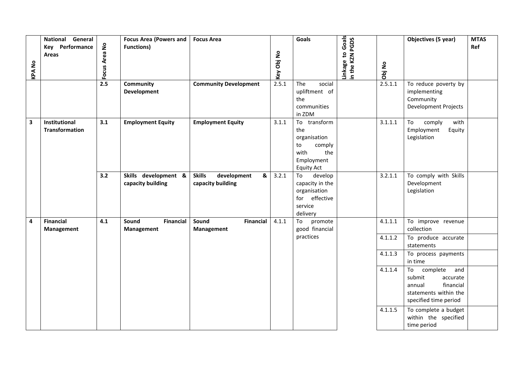| <b>KPANO</b> | <b>National</b><br>General<br><b>Key</b> Performance<br>Areas | Focus Area No | <b>Focus Area (Powers and</b><br><b>Functions)</b> | <b>Focus Area</b>                                      | Key Obj No | Goals                                                                                                    | Linkage to Goals<br>n the KZN PGDS | Obj No             | Objectives (5 year)                                                                                                  | <b>MTAS</b><br>Ref |
|--------------|---------------------------------------------------------------|---------------|----------------------------------------------------|--------------------------------------------------------|------------|----------------------------------------------------------------------------------------------------------|------------------------------------|--------------------|----------------------------------------------------------------------------------------------------------------------|--------------------|
|              |                                                               | 2.5           | Community<br>Development                           | <b>Community Development</b>                           | 2.5.1      | The<br>social<br>upliftment of<br>the<br>communities<br>in ZDM                                           |                                    | 2.5.1.1            | To reduce poverty by<br>implementing<br>Community<br>Development Projects                                            |                    |
| 3            | Institutional<br><b>Transformation</b>                        | 3.1           | <b>Employment Equity</b>                           | <b>Employment Equity</b>                               | 3.1.1      | transform<br>To<br>the<br>organisation<br>to<br>comply<br>with<br>the<br>Employment<br><b>Equity Act</b> |                                    | 3.1.1.1            | To<br>comply<br>with<br>Employment<br>Equity<br>Legislation                                                          |                    |
|              |                                                               | 3.2           | Skills development &<br>capacity building          | <b>Skills</b><br>development<br>&<br>capacity building | 3.2.1      | To<br>develop<br>capacity in the<br>organisation<br>for effective<br>service<br>delivery                 |                                    | 3.2.1.1            | To comply with Skills<br>Development<br>Legislation                                                                  |                    |
| 4            | <b>Financial</b><br>Management                                | 4.1           | Sound<br><b>Financial</b><br>Management            | Sound<br><b>Financial</b><br>Management                | 4.1.1      | promote<br>To<br>good financial<br>practices                                                             |                                    | 4.1.1.1<br>4.1.1.2 | To improve revenue<br>collection<br>To produce accurate<br>statements                                                |                    |
|              |                                                               |               |                                                    |                                                        |            |                                                                                                          |                                    | 4.1.1.3            | To process payments<br>in time                                                                                       |                    |
|              |                                                               |               |                                                    |                                                        |            |                                                                                                          |                                    | 4.1.1.4            | To<br>complete<br>and<br>submit<br>accurate<br>financial<br>annual<br>statements within the<br>specified time period |                    |
|              |                                                               |               |                                                    |                                                        |            |                                                                                                          |                                    | 4.1.1.5            | To complete a budget<br>within the specified<br>time period                                                          |                    |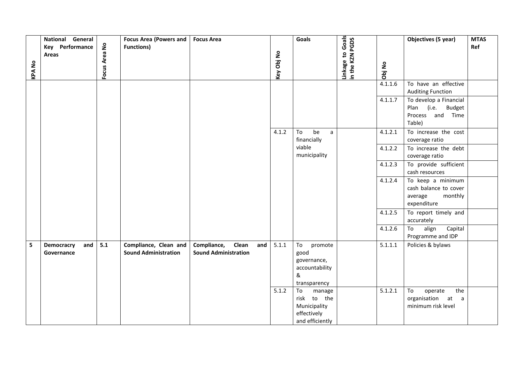|              | National General                |               | <b>Focus Area (Powers and</b>                        | <b>Focus Area</b>                                          |            | Goals                                                                         |                                     |         | Objectives (5 year)                                                             | <b>MTAS</b> |
|--------------|---------------------------------|---------------|------------------------------------------------------|------------------------------------------------------------|------------|-------------------------------------------------------------------------------|-------------------------------------|---------|---------------------------------------------------------------------------------|-------------|
|              | Key Performance<br><b>Areas</b> |               | <b>Functions)</b>                                    |                                                            |            |                                                                               |                                     |         |                                                                                 | Ref         |
|              |                                 | Focus Area No |                                                      |                                                            | Key Obj No |                                                                               | Linkage to Goals<br>in the KZN PGDS |         |                                                                                 |             |
| <b>KPANO</b> |                                 |               |                                                      |                                                            |            |                                                                               |                                     | Obj No  |                                                                                 |             |
|              |                                 |               |                                                      |                                                            |            |                                                                               |                                     | 4.1.1.6 | To have an effective<br><b>Auditing Function</b>                                |             |
|              |                                 |               |                                                      |                                                            |            |                                                                               |                                     | 4.1.1.7 | To develop a Financial<br>Plan (i.e. Budget<br>Process and Time<br>Table)       |             |
|              |                                 |               |                                                      |                                                            | 4.1.2      | be<br>To<br>$\mathsf{a}$<br>financially                                       |                                     | 4.1.2.1 | To increase the cost<br>coverage ratio                                          |             |
|              |                                 |               |                                                      |                                                            |            | viable<br>municipality                                                        |                                     | 4.1.2.2 | To increase the debt<br>coverage ratio                                          |             |
|              |                                 |               |                                                      |                                                            |            |                                                                               |                                     | 4.1.2.3 | To provide sufficient<br>cash resources                                         |             |
|              |                                 |               |                                                      |                                                            |            |                                                                               |                                     | 4.1.2.4 | To keep a minimum<br>cash balance to cover<br>average<br>monthly<br>expenditure |             |
|              |                                 |               |                                                      |                                                            |            |                                                                               |                                     | 4.1.2.5 | To report timely and<br>accurately                                              |             |
|              |                                 |               |                                                      |                                                            |            |                                                                               |                                     | 4.1.2.6 | To<br>align<br>Capital<br>Programme and IDP                                     |             |
| 5            | and<br>Democracry<br>Governance | 5.1           | Compliance, Clean and<br><b>Sound Administration</b> | Clean<br>Compliance,<br>and<br><b>Sound Administration</b> | 5.1.1      | To<br>promote<br>good<br>governance,<br>accountability<br>&<br>transparency   |                                     | 5.1.1.1 | Policies & bylaws                                                               |             |
|              |                                 |               |                                                      |                                                            | 5.1.2      | To<br>manage<br>risk to the<br>Municipality<br>effectively<br>and efficiently |                                     | 5.1.2.1 | To<br>operate<br>the<br>organisation at a<br>minimum risk level                 |             |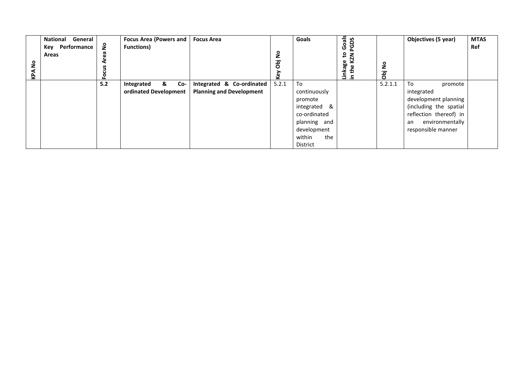| $\frac{1}{2}$<br>KPA | <b>National</b><br>General<br>Key Performance<br>Areas | å   | <b>Focus Area (Powers and</b><br><b>Functions)</b> | <b>Focus Area</b>               | $\epsilon$<br>jąo<br>ξò | Goals         | Goals<br>δq<br>ଟୁ<br>$\mathbf{c}$<br>KZN<br>Linkage<br>⊆ | 9 <sub>2</sub><br>jac | Objectives (5 year)    | <b>MTAS</b><br>Ref |
|----------------------|--------------------------------------------------------|-----|----------------------------------------------------|---------------------------------|-------------------------|---------------|----------------------------------------------------------|-----------------------|------------------------|--------------------|
|                      |                                                        | 5.2 | &<br>Co-<br>Integrated                             | Integrated & Co-ordinated       | 5.2.1                   | To            |                                                          | 5.2.1.1               | To<br>promote          |                    |
|                      |                                                        |     | ordinated Development                              | <b>Planning and Development</b> |                         | continuously  |                                                          |                       | integrated             |                    |
|                      |                                                        |     |                                                    |                                 |                         | promote       |                                                          |                       | development planning   |                    |
|                      |                                                        |     |                                                    |                                 |                         | integrated &  |                                                          |                       | (including the spatial |                    |
|                      |                                                        |     |                                                    |                                 |                         | co-ordinated  |                                                          |                       | reflection thereof) in |                    |
|                      |                                                        |     |                                                    |                                 |                         | planning and  |                                                          |                       | environmentally<br>an  |                    |
|                      |                                                        |     |                                                    |                                 |                         | development   |                                                          |                       | responsible manner     |                    |
|                      |                                                        |     |                                                    |                                 |                         | the<br>within |                                                          |                       |                        |                    |
|                      |                                                        |     |                                                    |                                 |                         | District      |                                                          |                       |                        |                    |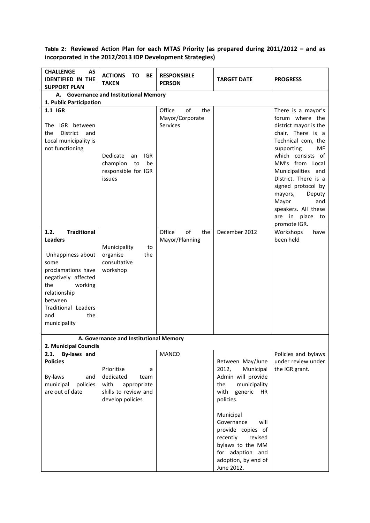**Table 2: Reviewed Action Plan for each MTAS Priority (as prepared during 2011/2012 – and as incorporated in the 2012/2013 IDP Development Strategies)**

| <b>CHALLENGE</b><br>AS<br><b>IDENTIFIED IN THE</b><br><b>SUPPORT PLAN</b>                                                                                                                                                       | <b>ACTIONS</b><br><b>TO</b><br>BE<br><b>TAKEN</b>                                                       | <b>RESPONSIBLE</b><br><b>PERSON</b>                | <b>TARGET DATE</b>                                                                                                                                                                                                                                                                    | <b>PROGRESS</b>                                                                                                                                                                                                                                                                                                                                   |
|---------------------------------------------------------------------------------------------------------------------------------------------------------------------------------------------------------------------------------|---------------------------------------------------------------------------------------------------------|----------------------------------------------------|---------------------------------------------------------------------------------------------------------------------------------------------------------------------------------------------------------------------------------------------------------------------------------------|---------------------------------------------------------------------------------------------------------------------------------------------------------------------------------------------------------------------------------------------------------------------------------------------------------------------------------------------------|
| 1. Public Participation                                                                                                                                                                                                         | A. Governance and Institutional Memory                                                                  |                                                    |                                                                                                                                                                                                                                                                                       |                                                                                                                                                                                                                                                                                                                                                   |
| 1.1 IGR<br>IGR<br>between<br>The<br>the<br><b>District</b><br>and<br>Local municipality is<br>not functioning                                                                                                                   | Dedicate<br><b>IGR</b><br>an<br>champion<br>be<br>to<br>responsible for IGR<br>issues                   | Office<br>of<br>the<br>Mayor/Corporate<br>Services |                                                                                                                                                                                                                                                                                       | There is a mayor's<br>forum where the<br>district mayor is the<br>chair. There is a<br>Technical com, the<br>supporting<br>МF<br>which consists of<br>MM's from Local<br>Municipalities and<br>District. There is a<br>signed protocol by<br>mayors,<br>Deputy<br>Mayor<br>and<br>speakers. All these<br>place<br>are<br>in<br>to<br>promote IGR. |
| <b>Traditional</b><br>1.2.<br><b>Leaders</b><br>Unhappiness about<br>some<br>proclamations have<br>negatively affected<br>the<br>working<br>relationship<br>between<br><b>Traditional Leaders</b><br>and<br>the<br>municipality | Municipality<br>to<br>organise<br>the<br>consultative<br>workshop                                       | Office<br>of<br>the<br>Mayor/Planning              | December 2012                                                                                                                                                                                                                                                                         | Workshops<br>have<br>been held                                                                                                                                                                                                                                                                                                                    |
|                                                                                                                                                                                                                                 | A. Governance and Institutional Memory                                                                  |                                                    |                                                                                                                                                                                                                                                                                       |                                                                                                                                                                                                                                                                                                                                                   |
| 2. Municipal Councils<br>By-laws and<br>2.1.<br><b>Policies</b><br>By-laws<br>and<br>municipal<br>policies<br>are out of date                                                                                                   | Prioritise<br>a<br>dedicated<br>team<br>with<br>appropriate<br>skills to review and<br>develop policies | <b>MANCO</b>                                       | Between May/June<br>2012,<br>Municipal<br>Admin will provide<br>the<br>municipality<br>with<br>generic<br>HR<br>policies.<br>Municipal<br>Governance<br>will<br>provide copies of<br>recently<br>revised<br>bylaws to the MM<br>for adaption and<br>adoption, by end of<br>June 2012. | Policies and bylaws<br>under review under<br>the IGR grant.                                                                                                                                                                                                                                                                                       |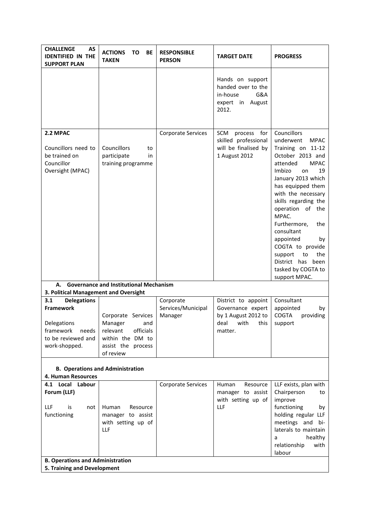| <b>CHALLENGE</b><br><b>AS</b><br><b>IDENTIFIED IN THE</b><br><b>SUPPORT PLAN</b>             | <b>ACTIONS</b><br>TO<br>BE<br><b>TAKEN</b>                                                                           | <b>RESPONSIBLE</b><br><b>PERSON</b> | <b>TARGET DATE</b>                                                                     | <b>PROGRESS</b>                                                                                                                                                                                                                                                                                                                                                                                             |
|----------------------------------------------------------------------------------------------|----------------------------------------------------------------------------------------------------------------------|-------------------------------------|----------------------------------------------------------------------------------------|-------------------------------------------------------------------------------------------------------------------------------------------------------------------------------------------------------------------------------------------------------------------------------------------------------------------------------------------------------------------------------------------------------------|
|                                                                                              |                                                                                                                      |                                     | Hands on support<br>handed over to the<br>in-house<br>G&A<br>expert in August<br>2012. |                                                                                                                                                                                                                                                                                                                                                                                                             |
| 2.2 MPAC                                                                                     |                                                                                                                      | <b>Corporate Services</b>           | for<br>SCM<br>process                                                                  | Councillors                                                                                                                                                                                                                                                                                                                                                                                                 |
| Councillors need to<br>be trained on<br>Councillor<br>Oversight (MPAC)                       | Councillors<br>to<br>participate<br>in<br>training programme                                                         |                                     | skilled professional<br>will be finalised by<br>1 August 2012                          | underwent<br><b>MPAC</b><br>Training on 11-12<br>October 2013 and<br>attended<br><b>MPAC</b><br>Imbizo<br>19<br>on<br>January 2013 which<br>has equipped them<br>with the necessary<br>skills regarding the<br>operation of the<br>MPAC.<br>Furthermore,<br>the<br>consultant<br>appointed<br>by<br>COGTA to provide<br>support<br>the<br>to<br>District has<br>been<br>tasked by COGTA to<br>support MPAC. |
| А.<br>3. Political Management and Oversight                                                  | <b>Governance and Institutional Mechanism</b>                                                                        |                                     |                                                                                        |                                                                                                                                                                                                                                                                                                                                                                                                             |
| 3.1<br><b>Delegations</b>                                                                    |                                                                                                                      | Corporate                           | District to appoint                                                                    | Consultant                                                                                                                                                                                                                                                                                                                                                                                                  |
| <b>Framework</b><br>Delegations<br>framework<br>needs<br>to be reviewed and<br>work-shopped. | Corporate Services<br>and<br>Manager<br>relevant<br>officials<br>within the DM to<br>assist the process<br>of review | Services/Municipal<br>Manager       | Governance expert<br>by 1 August 2012 to<br>deal with this<br>matter.                  | appointed<br>by<br><b>COGTA</b><br>providing<br>support                                                                                                                                                                                                                                                                                                                                                     |
|                                                                                              |                                                                                                                      |                                     |                                                                                        |                                                                                                                                                                                                                                                                                                                                                                                                             |
| 4. Human Resources                                                                           | <b>B. Operations and Administration</b>                                                                              |                                     |                                                                                        |                                                                                                                                                                                                                                                                                                                                                                                                             |
| 4.1 Local Labour<br>Forum (LLF)<br>LLF<br>is<br>not<br>functioning                           | Human<br>Resource<br>manager to assist                                                                               | <b>Corporate Services</b>           | Human<br>Resource<br>manager to assist<br>with setting up of<br>LLF                    | LLF exists, plan with<br>Chairperson<br>to<br>improve<br>functioning<br>by<br>holding regular LLF                                                                                                                                                                                                                                                                                                           |
|                                                                                              | with setting up of<br>LLF                                                                                            |                                     |                                                                                        | meetings and bi-<br>laterals to maintain<br>healthy<br>a<br>relationship<br>with<br>labour                                                                                                                                                                                                                                                                                                                  |
| <b>B. Operations and Administration</b><br>5. Training and Development                       |                                                                                                                      |                                     |                                                                                        |                                                                                                                                                                                                                                                                                                                                                                                                             |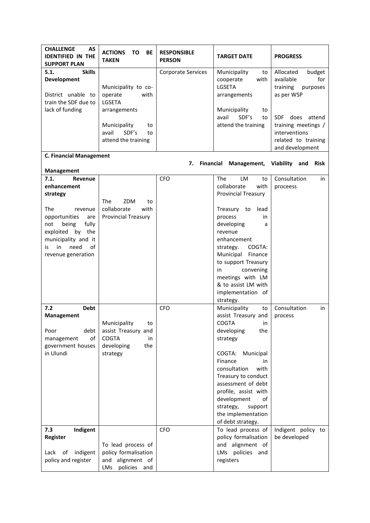| <b>CHALLENGE</b><br><b>AS</b><br><b>IDENTIFIED IN THE</b><br><b>SUPPORT PLAN</b>                                                                                                                                          | <b>ACTIONS</b><br>ΤO<br>BE<br><b>TAKEN</b>                                                                                                   | <b>RESPONSIBLE</b><br><b>PERSON</b> | <b>TARGET DATE</b>                                                                                                                                                                                                                                                                                                                     | <b>PROGRESS</b>                                                                                                                                                 |
|---------------------------------------------------------------------------------------------------------------------------------------------------------------------------------------------------------------------------|----------------------------------------------------------------------------------------------------------------------------------------------|-------------------------------------|----------------------------------------------------------------------------------------------------------------------------------------------------------------------------------------------------------------------------------------------------------------------------------------------------------------------------------------|-----------------------------------------------------------------------------------------------------------------------------------------------------------------|
| 5.1.<br><b>Skills</b><br>Development<br>District unable to<br>train the SDF due to<br>lack of funding                                                                                                                     | Municipality to co-<br>operate<br>with<br><b>LGSETA</b><br>arrangements<br>Municipality<br>to<br>SDF's<br>avail<br>to<br>attend the training | Corporate Services                  | Municipality<br>to<br>cooperate<br>with<br>LGSETA<br>arrangements<br>Municipality<br>to<br>SDF's<br>avail<br>to<br>attend the training                                                                                                                                                                                                 | Allocated<br>budget<br>available<br>for<br>training<br>purposes<br>as per WSP<br>SDF does attend<br>training meetings /<br>interventions<br>related to training |
| <b>C. Financial Management</b>                                                                                                                                                                                            |                                                                                                                                              |                                     |                                                                                                                                                                                                                                                                                                                                        | and development                                                                                                                                                 |
|                                                                                                                                                                                                                           |                                                                                                                                              | 7.<br>Financial                     | Management,                                                                                                                                                                                                                                                                                                                            | Viability<br>and<br><b>Risk</b>                                                                                                                                 |
| Management<br>7.1.<br>Revenue<br>enhancement<br>strategy<br>The<br>revenue<br>opportunities<br>are<br>being<br>fully<br>not<br>exploited<br>by the<br>municipality and it<br>need<br>of<br>in<br>is<br>revenue generation | The<br>ZDM<br>to<br>collaborate<br>with<br><b>Provincial Treasury</b>                                                                        | <b>CFO</b>                          | <b>The</b><br>LM<br>to<br>collaborate<br>with<br><b>Provincial Treasury</b><br>Treasury to<br>lead<br>process<br>in<br>developing<br>a<br>revenue<br>enhancement<br>COGTA:<br>strategy.<br>Municipal<br>Finance<br>to support Treasury<br>convening<br>in<br>meetings with LM<br>& to assist LM with<br>implementation of<br>strategy. | Consultation<br>in<br>proceess                                                                                                                                  |
| <b>Debt</b><br>7.2<br><b>Management</b><br>debt<br>Poor<br>οf<br>management<br>government houses<br>in Ulundi                                                                                                             | Municipality<br>to<br>assist Treasury and<br><b>COGTA</b><br>in<br>developing<br>the<br>strategy                                             | <b>CFO</b>                          | Municipality<br>to<br>assist Treasury and<br>COGTA<br>in<br>developing<br>the<br>strategy<br>COGTA:<br>Municipal<br>Finance<br>in<br>consultation<br>with<br>Treasury to conduct<br>assessment of debt<br>profile, assist with<br>development<br>οf<br>strategy,<br>support<br>the implementation<br>of debt strategy.                 | Consultation<br>in<br>process                                                                                                                                   |
| 7.3<br>Indigent<br>Register<br>Lack<br>of<br>indigent<br>policy and register                                                                                                                                              | To lead process of<br>policy formalisation<br>and alignment of<br>LMs policies and                                                           | CFO                                 | To lead process of<br>policy formalisation<br>and alignment of<br>LMs policies and<br>registers                                                                                                                                                                                                                                        | Indigent policy to<br>be developed                                                                                                                              |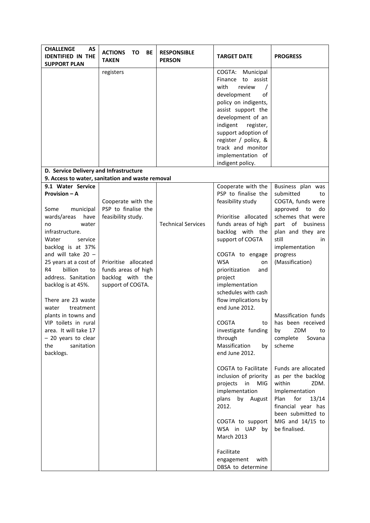| <b>CHALLENGE</b><br>AS<br><b>IDENTIFIED IN THE</b><br><b>SUPPORT PLAN</b>                                                                                                                                                                                                                                                         | <b>ACTIONS</b><br><b>TO</b><br><b>BE</b><br><b>TAKEN</b>                                                                                                | <b>RESPONSIBLE</b><br><b>PERSON</b> | <b>TARGET DATE</b>                                                                                                                                                                                                                                                                                                  | <b>PROGRESS</b>                                                                                                                                                                                                                                                                        |
|-----------------------------------------------------------------------------------------------------------------------------------------------------------------------------------------------------------------------------------------------------------------------------------------------------------------------------------|---------------------------------------------------------------------------------------------------------------------------------------------------------|-------------------------------------|---------------------------------------------------------------------------------------------------------------------------------------------------------------------------------------------------------------------------------------------------------------------------------------------------------------------|----------------------------------------------------------------------------------------------------------------------------------------------------------------------------------------------------------------------------------------------------------------------------------------|
|                                                                                                                                                                                                                                                                                                                                   | registers                                                                                                                                               |                                     | COGTA:<br>Municipal<br>Finance<br>to assist<br>review<br>with<br>development<br>of<br>policy on indigents,<br>assist support the<br>development of an<br>indigent<br>register,<br>support adoption of<br>register / policy, &<br>track and monitor<br>implementation of<br>indigent policy.                         |                                                                                                                                                                                                                                                                                        |
| D. Service Delivery and Infrastructure                                                                                                                                                                                                                                                                                            |                                                                                                                                                         |                                     |                                                                                                                                                                                                                                                                                                                     |                                                                                                                                                                                                                                                                                        |
|                                                                                                                                                                                                                                                                                                                                   | 9. Access to water, sanitation and waste removal                                                                                                        |                                     |                                                                                                                                                                                                                                                                                                                     |                                                                                                                                                                                                                                                                                        |
| 9.1 Water Service<br><b>Provision – A</b><br>Some<br>municipal<br>wards/areas<br>have<br>water<br>no<br>infrastructure.<br>Water<br>service<br>backlog is at 37%<br>and will take $20 -$<br>25 years at a cost of<br>R4<br>billion<br>to<br>address. Sanitation<br>backlog is at 45%.<br>There are 23 waste<br>treatment<br>water | Cooperate with the<br>PSP to finalise the<br>feasibility study.<br>Prioritise allocated<br>funds areas of high<br>backlog with the<br>support of COGTA. | <b>Technical Services</b>           | Cooperate with the<br>PSP to finalise the<br>feasibility study<br>Prioritise allocated<br>funds areas of high<br>backlog with the<br>support of COGTA<br>COGTA to engage<br><b>WSA</b><br>on<br>prioritization<br>and<br>project<br>implementation<br>schedules with cash<br>flow implications by<br>end June 2012. | Business plan was<br>submitted<br>to<br>COGTA, funds were<br>approved<br>to<br>do<br>schemes that were<br>part of business<br>plan and they are<br>still<br>in<br>implementation<br>progress<br>(Massification)                                                                        |
| plants in towns and<br>VIP toilets in rural<br>area. It will take 17<br>- 20 years to clear<br>the<br>sanitation<br>backlogs.                                                                                                                                                                                                     |                                                                                                                                                         |                                     | <b>COGTA</b><br>to<br>investigate funding<br>through<br>Massification<br>by<br>end June 2012.<br>COGTA to Facilitate<br>inclusion of priority<br>projects<br>in<br>MIG<br>implementation<br>by August<br>plans<br>2012.<br>COGTA to support<br>WSA in UAP by<br><b>March 2013</b>                                   | Massification funds<br>has been received<br>ZDM<br>by<br>to<br>complete<br>Sovana<br>scheme<br>Funds are allocated<br>as per the backlog<br>within<br>ZDM.<br>Implementation<br>Plan<br>for<br>13/14<br>financial year has<br>been submitted to<br>MIG and $14/15$ to<br>be finalised. |
|                                                                                                                                                                                                                                                                                                                                   |                                                                                                                                                         |                                     | Facilitate<br>with<br>engagement<br>DBSA to determine                                                                                                                                                                                                                                                               |                                                                                                                                                                                                                                                                                        |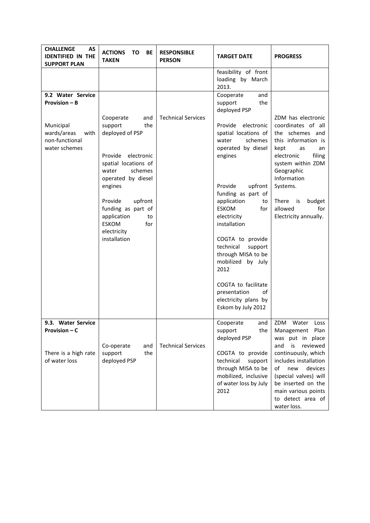| <b>CHALLENGE</b><br><b>AS</b><br><b>IDENTIFIED IN THE</b><br><b>SUPPORT PLAN</b>                                 | <b>ACTIONS</b><br>ΤO<br>BE<br><b>TAKEN</b>                                                                                                                                                                                                                                         | <b>RESPONSIBLE</b><br><b>PERSON</b> | <b>TARGET DATE</b>                                                                                                                                                                                                                                                                                                                                                                                                                                                        | <b>PROGRESS</b>                                                                                                                                                                                                                                                        |
|------------------------------------------------------------------------------------------------------------------|------------------------------------------------------------------------------------------------------------------------------------------------------------------------------------------------------------------------------------------------------------------------------------|-------------------------------------|---------------------------------------------------------------------------------------------------------------------------------------------------------------------------------------------------------------------------------------------------------------------------------------------------------------------------------------------------------------------------------------------------------------------------------------------------------------------------|------------------------------------------------------------------------------------------------------------------------------------------------------------------------------------------------------------------------------------------------------------------------|
|                                                                                                                  |                                                                                                                                                                                                                                                                                    |                                     | feasibility of front<br>loading by March<br>2013.                                                                                                                                                                                                                                                                                                                                                                                                                         |                                                                                                                                                                                                                                                                        |
| 9.2 Water Service<br><b>Provision - B</b><br>Municipal<br>wards/areas<br>with<br>non-functional<br>water schemes | Cooperate<br>and<br>support<br>the<br>deployed of PSP<br>Provide<br>electronic<br>spatial locations of<br>schemes<br>water<br>operated by diesel<br>engines<br>Provide<br>upfront<br>funding as part of<br>application<br>to<br><b>ESKOM</b><br>for<br>electricity<br>installation | <b>Technical Services</b>           | and<br>Cooperate<br>the<br>support<br>deployed PSP<br>Provide<br>electronic<br>spatial locations of<br>schemes<br>water<br>operated by diesel<br>engines<br>Provide<br>upfront<br>funding as part of<br>application<br>to<br><b>ESKOM</b><br>for<br>electricity<br>installation<br>COGTA to provide<br>technical<br>support<br>through MISA to be<br>mobilized by July<br>2012<br>COGTA to facilitate<br>presentation<br>of<br>electricity plans by<br>Eskom by July 2012 | ZDM has electronic<br>coordinates of all<br>the schemes and<br>this information is<br>kept<br>as<br>an<br>electronic<br>filing<br>system within ZDM<br>Geographic<br>Information<br>Systems.<br>There is<br>budget<br>allowed<br>for<br>Electricity annually.          |
| 9.3. Water Service<br>Provision – C<br>There is a high rate<br>of water loss                                     | Co-operate<br>and<br>support<br>the<br>deployed PSP                                                                                                                                                                                                                                | <b>Technical Services</b>           | Cooperate<br>and<br>the<br>support<br>deployed PSP<br>COGTA to provide<br>technical<br>support<br>through MISA to be<br>mobilized, inclusive<br>of water loss by July<br>2012                                                                                                                                                                                                                                                                                             | ZDM Water<br>Loss<br>Plan<br>Management<br>was put in place<br>reviewed<br>and<br>is<br>continuously, which<br>includes installation<br>of<br>devices<br>new<br>(special valves) will<br>be inserted on the<br>main various points<br>to detect area of<br>water loss. |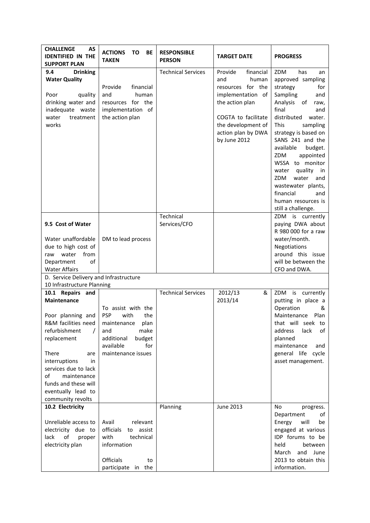| <b>CHALLENGE</b><br>AS<br><b>IDENTIFIED IN THE</b><br><b>SUPPORT PLAN</b>                                                                                                                                                                                                 | <b>ACTIONS</b><br>ΤO<br>BE<br><b>TAKEN</b>                                                                                                           | <b>RESPONSIBLE</b><br><b>PERSON</b> | <b>TARGET DATE</b>                                                                                                                                                                   | <b>PROGRESS</b>                                                                                                                                                                                                                                                                                                                                                                                                       |
|---------------------------------------------------------------------------------------------------------------------------------------------------------------------------------------------------------------------------------------------------------------------------|------------------------------------------------------------------------------------------------------------------------------------------------------|-------------------------------------|--------------------------------------------------------------------------------------------------------------------------------------------------------------------------------------|-----------------------------------------------------------------------------------------------------------------------------------------------------------------------------------------------------------------------------------------------------------------------------------------------------------------------------------------------------------------------------------------------------------------------|
| 9.4<br><b>Drinking</b><br><b>Water Quality</b><br>Poor<br>quality<br>drinking water and<br>inadequate waste<br>water<br>treatment<br>works                                                                                                                                | financial<br>Provide<br>human<br>and<br>resources for the<br>implementation of<br>the action plan                                                    | <b>Technical Services</b>           | financial<br>Provide<br>human<br>and<br>resources for the<br>implementation of<br>the action plan<br>COGTA to facilitate<br>the development of<br>action plan by DWA<br>by June 2012 | ZDM<br>has<br>an<br>approved sampling<br>strategy<br>for<br>Sampling<br>and<br>Analysis of<br>raw,<br>final<br>and<br>distributed<br>water.<br><b>This</b><br>sampling<br>strategy is based on<br>SANS 241 and the<br>available<br>budget.<br>ZDM<br>appointed<br>WSSA to monitor<br>quality in<br>water<br>ZDM<br>water<br>and<br>wastewater plants,<br>financial<br>and<br>human resources is<br>still a challenge. |
| 9.5 Cost of Water                                                                                                                                                                                                                                                         |                                                                                                                                                      | Technical<br>Services/CFO           |                                                                                                                                                                                      | ZDM is currently<br>paying DWA about<br>R 980 000 for a raw                                                                                                                                                                                                                                                                                                                                                           |
| Water unaffordable<br>due to high cost of<br>water<br>from<br>raw<br>Department<br>οf<br><b>Water Affairs</b>                                                                                                                                                             | DM to lead process                                                                                                                                   |                                     |                                                                                                                                                                                      | water/month.<br>Negotiations<br>around this issue<br>will be between the<br>CFO and DWA.                                                                                                                                                                                                                                                                                                                              |
| D. Service Delivery and Infrastructure                                                                                                                                                                                                                                    |                                                                                                                                                      |                                     |                                                                                                                                                                                      |                                                                                                                                                                                                                                                                                                                                                                                                                       |
| 10 Infrastructure Planning                                                                                                                                                                                                                                                |                                                                                                                                                      |                                     |                                                                                                                                                                                      |                                                                                                                                                                                                                                                                                                                                                                                                                       |
| 10.1 Repairs and<br><b>Maintenance</b><br>Poor planning and<br>R&M facilities need<br>refurbishment<br>replacement<br>There<br>are<br>interruptions<br>in<br>services due to lack<br>of<br>maintenance<br>funds and these will<br>eventually lead to<br>community revolts | To assist with the<br><b>PSP</b><br>with<br>the<br>maintenance plan<br>make<br>and<br>additional<br>budget<br>available<br>for<br>maintenance issues | <b>Technical Services</b>           | 2012/13<br>&<br>2013/14                                                                                                                                                              | ZDM is currently<br>putting in place a<br>Operation<br>&<br>Maintenance<br>Plan<br>that will seek to<br>address<br>lack<br>οf<br>planned<br>maintenance<br>and<br>general life cycle<br>asset management.                                                                                                                                                                                                             |
| 10.2 Electricity<br>Unreliable access to<br>electricity due to<br>lack<br>of<br>proper<br>electricity plan                                                                                                                                                                | relevant<br>Avail<br>officials<br>assist<br>to<br>with<br>technical<br>information<br>Officials<br>to<br>participate in the                          | Planning                            | June 2013                                                                                                                                                                            | No<br>progress.<br>Department<br>οf<br>Energy<br>will<br>be<br>engaged at various<br>IDP forums to be<br>held<br>between<br>March and<br>June<br>2013 to obtain this<br>information.                                                                                                                                                                                                                                  |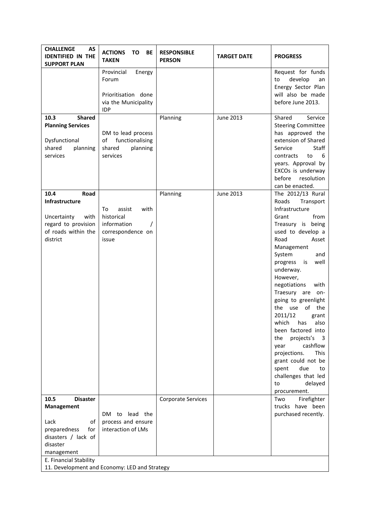| <b>CHALLENGE</b><br>AS<br><b>IDENTIFIED IN THE</b><br><b>SUPPORT PLAN</b>                                                                             | <b>ACTIONS</b><br>TO<br>BE<br><b>TAKEN</b>                                                 | <b>RESPONSIBLE</b><br><b>PERSON</b> | <b>TARGET DATE</b> | <b>PROGRESS</b>                                                                                                                                                                                                                                                                                                                                                                                                                                                                                                                                      |
|-------------------------------------------------------------------------------------------------------------------------------------------------------|--------------------------------------------------------------------------------------------|-------------------------------------|--------------------|------------------------------------------------------------------------------------------------------------------------------------------------------------------------------------------------------------------------------------------------------------------------------------------------------------------------------------------------------------------------------------------------------------------------------------------------------------------------------------------------------------------------------------------------------|
|                                                                                                                                                       | Provincial<br>Energy<br>Forum<br>Prioritisation done<br>via the Municipality<br><b>IDP</b> |                                     |                    | Request for funds<br>develop<br>to<br>an<br>Energy Sector Plan<br>will also be made<br>before June 2013.                                                                                                                                                                                                                                                                                                                                                                                                                                             |
| <b>Shared</b><br>10.3<br><b>Planning Services</b><br>Dysfunctional<br>shared<br>planning<br>services                                                  | DM to lead process<br>functionalising<br>of<br>shared<br>planning<br>services              | Planning                            | <b>June 2013</b>   | Shared<br>Service<br><b>Steering Committee</b><br>has approved the<br>extension of Shared<br>Service<br>Staff<br>contracts<br>to<br>6<br>years. Approval by<br>EXCOs is underway<br>before<br>resolution<br>can be enacted.                                                                                                                                                                                                                                                                                                                          |
| 10.4<br>Road<br>Infrastructure<br>Uncertainty<br>with<br>regard to provision<br>of roads within the<br>district                                       | with<br>To<br>assist<br>historical<br>information<br>correspondence on<br>issue            | Planning                            | <b>June 2013</b>   | The 2012/13 Rural<br>Roads<br>Transport<br>Infrastructure<br>from<br>Grant<br>Treasury is being<br>used to develop a<br>Road<br>Asset<br>Management<br>System<br>and<br>progress<br>is<br>well<br>underway.<br>However,<br>negotiations<br>with<br>Traesury are on-<br>going to greenlight<br>the use of the<br>2011/12<br>grant<br>which has also<br>been factored into<br>projects's<br>the<br>- 3<br>cashflow<br>year<br>This<br>projections.<br>grant could not be<br>due<br>spent<br>to<br>challenges that led<br>delayed<br>to<br>procurement. |
| 10.5<br><b>Disaster</b><br>Management<br>Lack<br>of<br>preparedness<br>for<br>disasters / lack of<br>disaster<br>management<br>E. Financial Stability | DM to lead the<br>process and ensure<br>interaction of LMs                                 | <b>Corporate Services</b>           |                    | Firefighter<br>Two<br>trucks have been<br>purchased recently.                                                                                                                                                                                                                                                                                                                                                                                                                                                                                        |
| 11. Development and Economy: LED and Strategy                                                                                                         |                                                                                            |                                     |                    |                                                                                                                                                                                                                                                                                                                                                                                                                                                                                                                                                      |